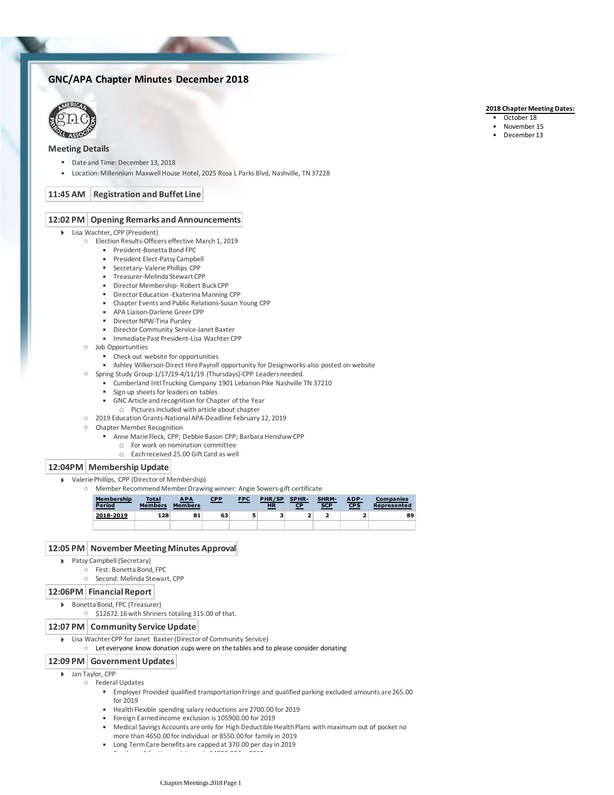# **GNC/APA Chapter Minutes December 2018**



## **Meeting Details**

- Date and Time: December 13, 2018
- Location: Millennium Maxwell House Hotel, 2025 Rosa L Parks Blvd, Nashville, TN 37228

## **11:45 AM Registration and Buffet Line**

### **12:02 PM Opening Remarks and Announcements**

#### Lisa Wachter, CPP (President)

- Election Results-Officers effective March 1, 2019
	- President-Bonetta Bond FPC
	- **•** President Elect-Patsy Campbell
	- **EXECUTE:** Secretary-Valerie Phillips CPP
	- Treasurer-Melinda Stewart CPP
	- Director Membership- Robert Buck CPP
	- **Director Education -Ekaterina Manning CPP**
	- Chapter Events and Public Relations-Susan Young CPP
	- **B** APA Liaison-Darlene Greer CPP
	- **■** Director NPW-Tina Pursley
	- **E** Director Community Service-Janet Baxter
	- Immediate Past President-Lisa Wachter CPP
- Job Opportunities
	- Check out website for opportunities
	- Ashley Wilkerson-Direct Hire Payroll opportunity for Designworks-also posted on website
- Spring Study Group-1/17/19-4/11/19 (Thursdays)-CPP Leaders needed.
	- Cumberland Intl Trucking Company 1901 Lebanon Pike Nashville TN 37210
	- **Example 1** Sign up sheets for leaders on tables
	- GNC Article and recognition for Chapter of the Year
		- □ Pictures included with article about chapter
- 2019 Education Grants-National APA-Deadline February 12, 2019
- Chapter Member Recognition
	- Anne Marie Fleck, CPP; Debbie Bason CPP; Barbara Henshaw CPP
		- □ For work on nomination committee
		- □ Each received 25.00 Gift Card as well

## **12:04PM Membership Update**

- Valerie Phillips, CPP (Director of Membership)
	- Member Recommend Member Drawing winner: Angie Sowers-gift certificate

| Membership<br><b>Period</b> | <b>Total</b><br><b>Members</b> | <b>APA</b><br><b>Members</b> | <u>CPP</u> | <b>FPC</b> | PHR/SP<br><b>HR</b> | SPHR-<br><u>СР</u> | SHRM-<br><b>SCP</b> | ADP-<br><b>CPS</b> | <b>Companies</b><br>Represented |
|-----------------------------|--------------------------------|------------------------------|------------|------------|---------------------|--------------------|---------------------|--------------------|---------------------------------|
| 2018-2019                   | 128                            | 81                           | 63         |            | 3                   |                    |                     |                    | 89                              |
|                             |                                |                              |            |            |                     |                    |                     |                    |                                 |

## **12:05 PM November Meeting Minutes Approval**

- Patsy Campbell (Secretary)
	- First: Bonetta Bond, FPC
		- Second: Melinda Stewart, CPP
	-

## **12:06PM Financial Report**

- Bonetta Bond, FPC (Treasurer)
	- \$12672.16 with Shriners totaling 315.00 of that.

### **12:07 PM Community Service Update**

- ▶ Lisa Wachter CPP for Janet Baxter (Director of Community Service)
	- Let everyone know donation cups were on the tables and to please consider donating

### **12:09 PM Government Updates**

- Jan Taylor, CPP
	- Federal Updates
		- Employer Provided qualified transportation Fringe and qualified parking excluded amounts are 265.00 for 2019
		- Health Flexible spending salary reductions are 2700.00 for 2019
		- Foreign Earned income exclusion is 105900.00 for 2019

 $\mathbb{R}$  Employer Adoption assistance is 14080.000 for 20190.00 for 20190.00 for 20190.00 for 20190.00 for 20190.00 for 20190.00 for 20190.00 for 20190.00 for 20190.00 for 20190.00 for 20190.00 for 20190.00 for 20190.00 f

- Medical Savings Accounts are only for High Deductible Health Plans with maximum out of pocket no more than 4650.00 for individual or 8550.00 for family in 2019
- Long Term Care benefits are capped at 370.00 per day in 2019
	- Chapter Meetings 2018 Page 1

#### **2018 Chapter Meeting Dates:**

- October 18
- November 15
- December 13